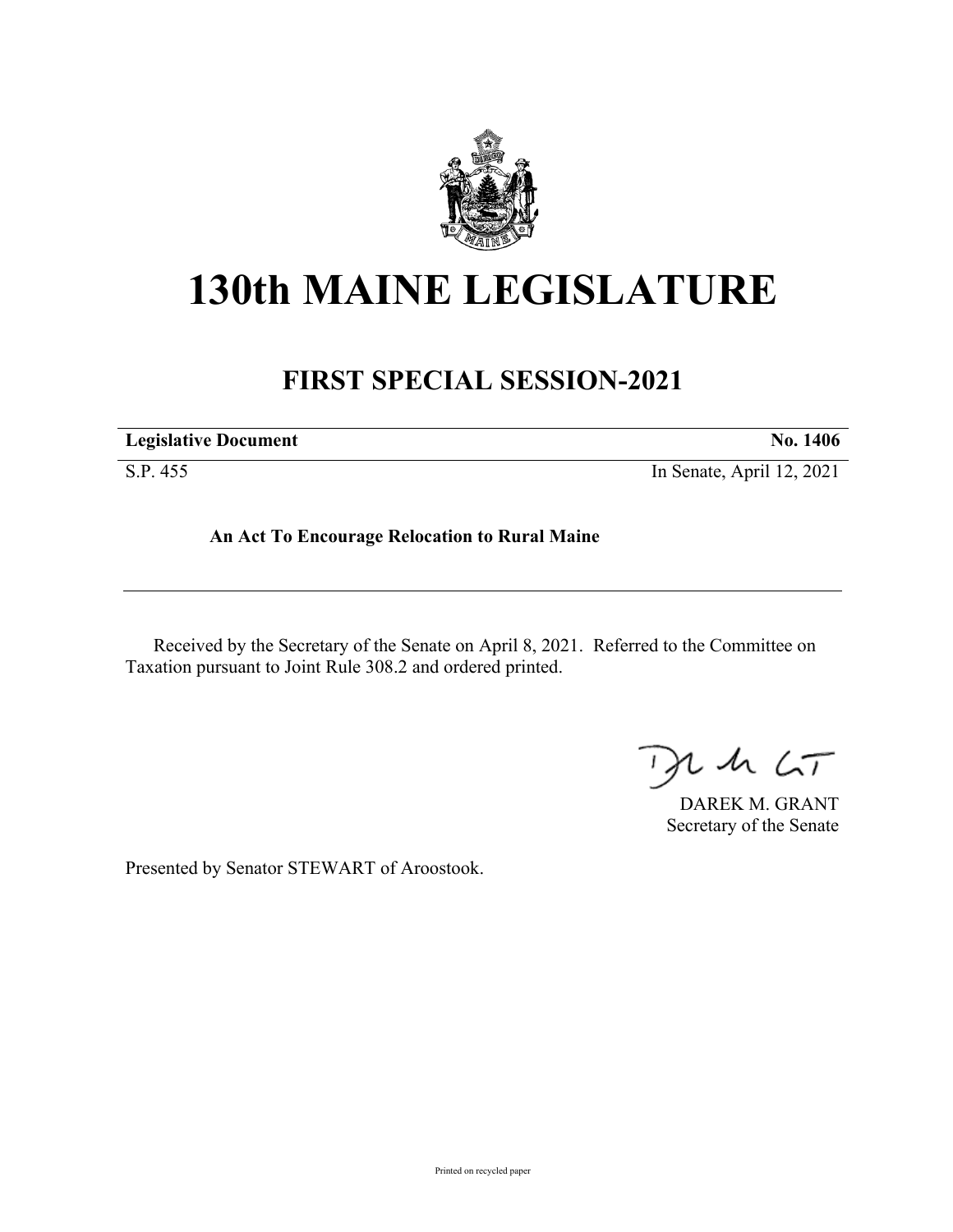

## **130th MAINE LEGISLATURE**

## **FIRST SPECIAL SESSION-2021**

| <b>Legislative Document</b> | No. 1406                  |
|-----------------------------|---------------------------|
| S.P. 455                    | In Senate, April 12, 2021 |

**An Act To Encourage Relocation to Rural Maine**

Received by the Secretary of the Senate on April 8, 2021. Referred to the Committee on Taxation pursuant to Joint Rule 308.2 and ordered printed.

 $125$ 

DAREK M. GRANT Secretary of the Senate

Presented by Senator STEWART of Aroostook.